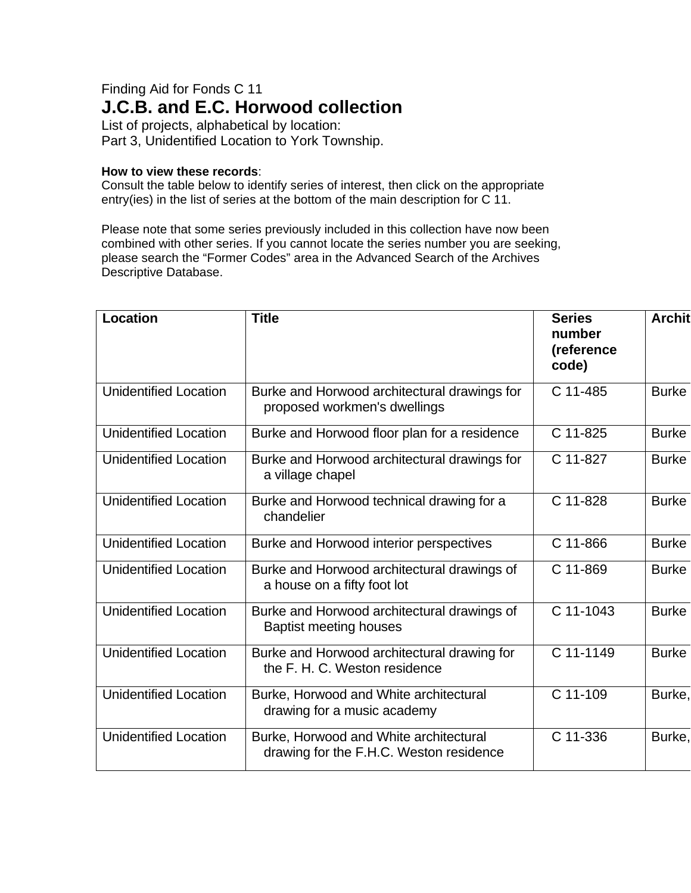## Finding Aid for Fonds C 11 **J.C.B. and E.C. Horwood collection**

List of projects, alphabetical by location: Part 3, Unidentified Location to York Township.

## **How to view these records**:

Consult the table below to identify series of interest, then click on the appropriate entry(ies) in the list of series at the bottom of the main description for C 11.

Please note that some series previously included in this collection have now been combined with other series. If you cannot locate the series number you are seeking, please search the "Former Codes" area in the Advanced Search of the Archives Descriptive Database.

| <b>Location</b>              | <b>Title</b>                                                                      | <b>Series</b><br>number<br>(reference<br>code) | <b>Archit</b> |
|------------------------------|-----------------------------------------------------------------------------------|------------------------------------------------|---------------|
| <b>Unidentified Location</b> | Burke and Horwood architectural drawings for<br>proposed workmen's dwellings      | C 11-485                                       | <b>Burke</b>  |
| <b>Unidentified Location</b> | Burke and Horwood floor plan for a residence                                      | C 11-825                                       | <b>Burke</b>  |
| <b>Unidentified Location</b> | Burke and Horwood architectural drawings for<br>a village chapel                  | C 11-827                                       | <b>Burke</b>  |
| <b>Unidentified Location</b> | Burke and Horwood technical drawing for a<br>chandelier                           | C 11-828                                       | <b>Burke</b>  |
| <b>Unidentified Location</b> | Burke and Horwood interior perspectives                                           | C 11-866                                       | <b>Burke</b>  |
| <b>Unidentified Location</b> | Burke and Horwood architectural drawings of<br>a house on a fifty foot lot        | C 11-869                                       | <b>Burke</b>  |
| <b>Unidentified Location</b> | Burke and Horwood architectural drawings of<br><b>Baptist meeting houses</b>      | C 11-1043                                      | <b>Burke</b>  |
| <b>Unidentified Location</b> | Burke and Horwood architectural drawing for<br>the F. H. C. Weston residence      | C 11-1149                                      | <b>Burke</b>  |
| <b>Unidentified Location</b> | Burke, Horwood and White architectural<br>drawing for a music academy             | C 11-109                                       | Burke,        |
| <b>Unidentified Location</b> | Burke, Horwood and White architectural<br>drawing for the F.H.C. Weston residence | C 11-336                                       | Burke,        |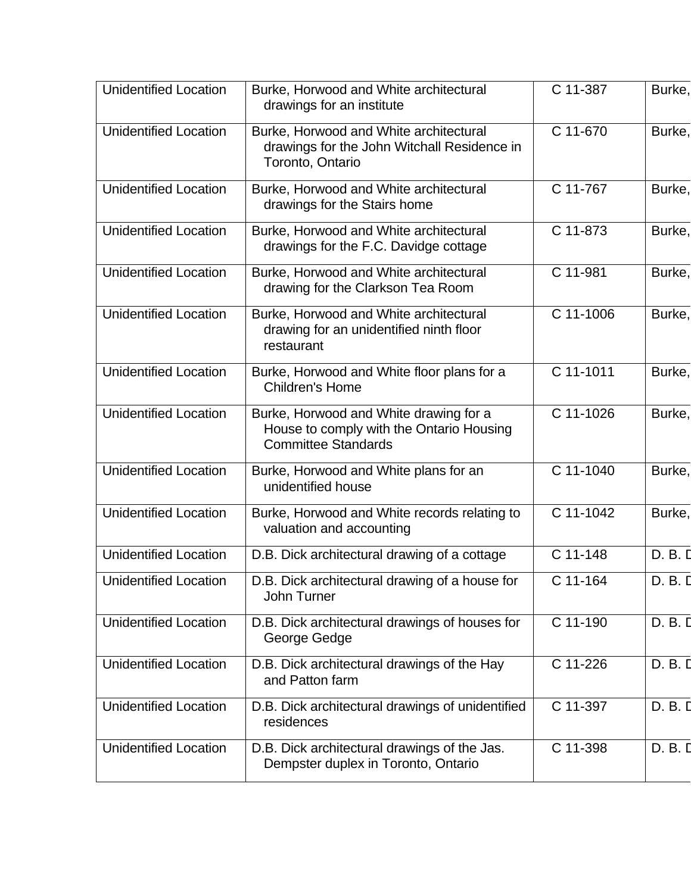| <b>Unidentified Location</b> | Burke, Horwood and White architectural<br>drawings for an institute                                              | C 11-387  | Burke,  |
|------------------------------|------------------------------------------------------------------------------------------------------------------|-----------|---------|
| Unidentified Location        | Burke, Horwood and White architectural<br>drawings for the John Witchall Residence in<br>Toronto, Ontario        | C 11-670  | Burke,  |
| <b>Unidentified Location</b> | Burke, Horwood and White architectural<br>drawings for the Stairs home                                           | C 11-767  | Burke,  |
| <b>Unidentified Location</b> | Burke, Horwood and White architectural<br>drawings for the F.C. Davidge cottage                                  | C 11-873  | Burke,  |
| <b>Unidentified Location</b> | Burke, Horwood and White architectural<br>drawing for the Clarkson Tea Room                                      | C 11-981  | Burke,  |
| <b>Unidentified Location</b> | Burke, Horwood and White architectural<br>drawing for an unidentified ninth floor<br>restaurant                  | C 11-1006 | Burke,  |
| <b>Unidentified Location</b> | Burke, Horwood and White floor plans for a<br><b>Children's Home</b>                                             | C 11-1011 | Burke,  |
| <b>Unidentified Location</b> | Burke, Horwood and White drawing for a<br>House to comply with the Ontario Housing<br><b>Committee Standards</b> | C 11-1026 | Burke,  |
| <b>Unidentified Location</b> | Burke, Horwood and White plans for an<br>unidentified house                                                      | C 11-1040 | Burke,  |
| <b>Unidentified Location</b> | Burke, Horwood and White records relating to<br>valuation and accounting                                         | C 11-1042 | Burke,  |
| <b>Unidentified Location</b> | D.B. Dick architectural drawing of a cottage                                                                     | C 11-148  | D. B. D |
| Unidentified Location        | D.B. Dick architectural drawing of a house for<br>John Turner                                                    | C 11-164  | D. B. D |
| <b>Unidentified Location</b> | D.B. Dick architectural drawings of houses for<br>George Gedge                                                   | C 11-190  | D. B. D |
| <b>Unidentified Location</b> | D.B. Dick architectural drawings of the Hay<br>and Patton farm                                                   | C 11-226  | D. B. D |
| <b>Unidentified Location</b> | D.B. Dick architectural drawings of unidentified<br>residences                                                   | C 11-397  | D. B. D |
| <b>Unidentified Location</b> | D.B. Dick architectural drawings of the Jas.<br>Dempster duplex in Toronto, Ontario                              | C 11-398  | D. B. D |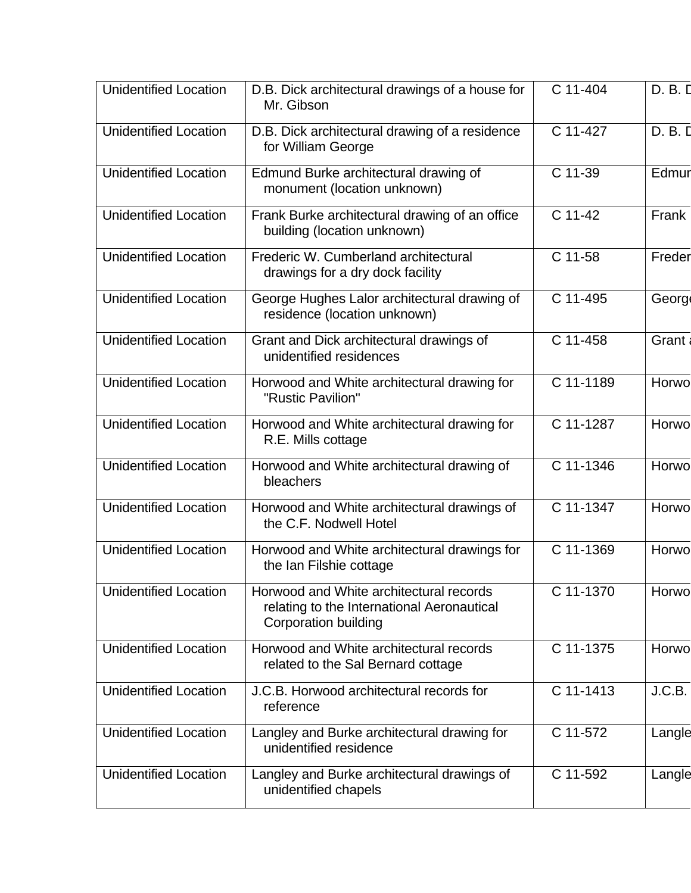| <b>Unidentified Location</b> | D.B. Dick architectural drawings of a house for<br>Mr. Gibson                                                        | C 11-404  | D. B. D      |
|------------------------------|----------------------------------------------------------------------------------------------------------------------|-----------|--------------|
| <b>Unidentified Location</b> | D.B. Dick architectural drawing of a residence<br>for William George                                                 | C 11-427  | D. B. D      |
| <b>Unidentified Location</b> | Edmund Burke architectural drawing of<br>monument (location unknown)                                                 | C 11-39   | Edmur        |
| <b>Unidentified Location</b> | Frank Burke architectural drawing of an office<br>building (location unknown)                                        | C 11-42   | Frank        |
| <b>Unidentified Location</b> | Frederic W. Cumberland architectural<br>drawings for a dry dock facility                                             | C 11-58   | Freder       |
| <b>Unidentified Location</b> | George Hughes Lalor architectural drawing of<br>residence (location unknown)                                         | C 11-495  | <b>Georg</b> |
| <b>Unidentified Location</b> | Grant and Dick architectural drawings of<br>unidentified residences                                                  | C 11-458  | Grant        |
| <b>Unidentified Location</b> | Horwood and White architectural drawing for<br>"Rustic Pavilion"                                                     | C 11-1189 | Horwo        |
| <b>Unidentified Location</b> | Horwood and White architectural drawing for<br>R.E. Mills cottage                                                    | C 11-1287 | Horwo        |
| <b>Unidentified Location</b> | Horwood and White architectural drawing of<br>bleachers                                                              | C 11-1346 | Horwo        |
| <b>Unidentified Location</b> | Horwood and White architectural drawings of<br>the C.F. Nodwell Hotel                                                | C 11-1347 | Horwo        |
| <b>Unidentified Location</b> | Horwood and White architectural drawings for<br>the Ian Filshie cottage                                              | C 11-1369 | Horwo        |
| <b>Unidentified Location</b> | Horwood and White architectural records<br>relating to the International Aeronautical<br><b>Corporation building</b> | C 11-1370 | Horwo        |
| <b>Unidentified Location</b> | Horwood and White architectural records<br>related to the Sal Bernard cottage                                        | C 11-1375 | Horwo        |
| <b>Unidentified Location</b> | J.C.B. Horwood architectural records for<br>reference                                                                | C 11-1413 | J.C.B.       |
| <b>Unidentified Location</b> | Langley and Burke architectural drawing for<br>unidentified residence                                                | C 11-572  | Langle       |
| <b>Unidentified Location</b> | Langley and Burke architectural drawings of<br>unidentified chapels                                                  | C 11-592  | Langle       |
|                              |                                                                                                                      |           |              |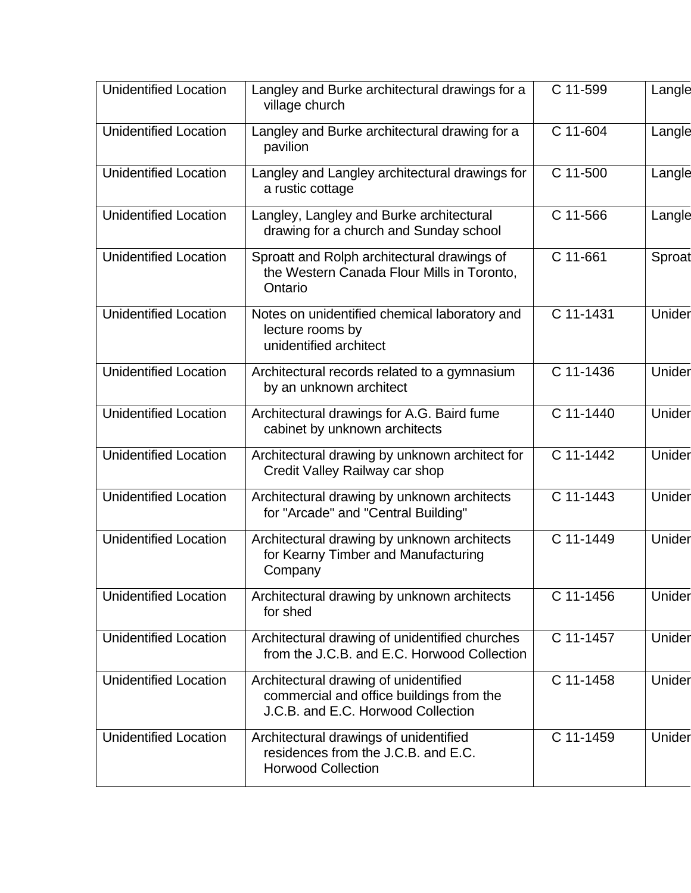| <b>Unidentified Location</b> | Langley and Burke architectural drawings for a<br>village church                                                        | C 11-599  | Langle |
|------------------------------|-------------------------------------------------------------------------------------------------------------------------|-----------|--------|
| <b>Unidentified Location</b> | Langley and Burke architectural drawing for a<br>pavilion                                                               | C 11-604  | Langle |
| <b>Unidentified Location</b> | Langley and Langley architectural drawings for<br>a rustic cottage                                                      | C 11-500  | Langle |
| <b>Unidentified Location</b> | Langley, Langley and Burke architectural<br>drawing for a church and Sunday school                                      | C 11-566  | Langle |
| <b>Unidentified Location</b> | Sproatt and Rolph architectural drawings of<br>the Western Canada Flour Mills in Toronto,<br>Ontario                    | C 11-661  | Sproat |
| <b>Unidentified Location</b> | Notes on unidentified chemical laboratory and<br>lecture rooms by<br>unidentified architect                             | C 11-1431 | Unider |
| <b>Unidentified Location</b> | Architectural records related to a gymnasium<br>by an unknown architect                                                 | C 11-1436 | Unider |
| <b>Unidentified Location</b> | Architectural drawings for A.G. Baird fume<br>cabinet by unknown architects                                             | C 11-1440 | Unider |
| <b>Unidentified Location</b> | Architectural drawing by unknown architect for<br>Credit Valley Railway car shop                                        | C 11-1442 | Unider |
| <b>Unidentified Location</b> | Architectural drawing by unknown architects<br>for "Arcade" and "Central Building"                                      | C 11-1443 | Unider |
| <b>Unidentified Location</b> | Architectural drawing by unknown architects<br>for Kearny Timber and Manufacturing<br>Company                           | C 11-1449 | Unider |
| <b>Unidentified Location</b> | Architectural drawing by unknown architects<br>for shed                                                                 | C 11-1456 | Unider |
| <b>Unidentified Location</b> | Architectural drawing of unidentified churches<br>from the J.C.B. and E.C. Horwood Collection                           | C 11-1457 | Unider |
| <b>Unidentified Location</b> | Architectural drawing of unidentified<br>commercial and office buildings from the<br>J.C.B. and E.C. Horwood Collection | C 11-1458 | Unider |
| <b>Unidentified Location</b> | Architectural drawings of unidentified<br>residences from the J.C.B. and E.C.<br><b>Horwood Collection</b>              | C 11-1459 | Unider |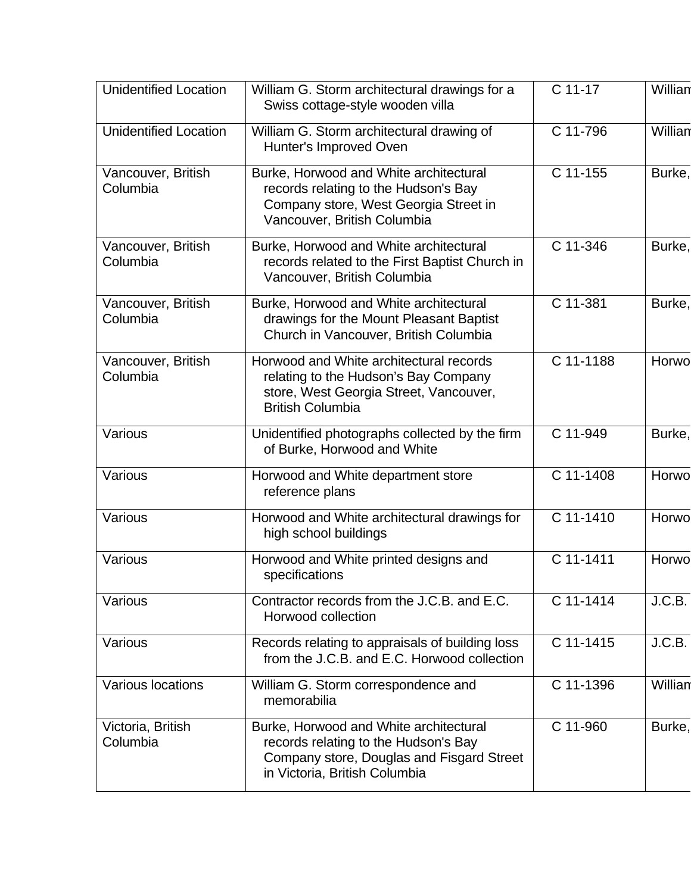| <b>Unidentified Location</b>   | William G. Storm architectural drawings for a<br>Swiss cottage-style wooden villa                                                                            | C 11-17   | Willian |
|--------------------------------|--------------------------------------------------------------------------------------------------------------------------------------------------------------|-----------|---------|
| <b>Unidentified Location</b>   | William G. Storm architectural drawing of<br>Hunter's Improved Oven                                                                                          | C 11-796  | Willian |
| Vancouver, British<br>Columbia | Burke, Horwood and White architectural<br>records relating to the Hudson's Bay<br>Company store, West Georgia Street in<br>Vancouver, British Columbia       | C 11-155  | Burke,  |
| Vancouver, British<br>Columbia | Burke, Horwood and White architectural<br>records related to the First Baptist Church in<br>Vancouver, British Columbia                                      | C 11-346  | Burke,  |
| Vancouver, British<br>Columbia | Burke, Horwood and White architectural<br>drawings for the Mount Pleasant Baptist<br>Church in Vancouver, British Columbia                                   | C 11-381  | Burke,  |
| Vancouver, British<br>Columbia | Horwood and White architectural records<br>relating to the Hudson's Bay Company<br>store, West Georgia Street, Vancouver,<br><b>British Columbia</b>         | C 11-1188 | Horwo   |
| Various                        | Unidentified photographs collected by the firm<br>of Burke, Horwood and White                                                                                | C 11-949  | Burke,  |
| Various                        | Horwood and White department store<br>reference plans                                                                                                        | C 11-1408 | Horwo   |
| Various                        | Horwood and White architectural drawings for<br>high school buildings                                                                                        | C 11-1410 | Horwo   |
| Various                        | Horwood and White printed designs and<br>specifications                                                                                                      | C 11-1411 | Horwo   |
| Various                        | Contractor records from the J.C.B. and E.C.<br>Horwood collection                                                                                            | C 11-1414 | J.C.B.  |
| Various                        | Records relating to appraisals of building loss<br>from the J.C.B. and E.C. Horwood collection                                                               | C 11-1415 | J.C.B.  |
| <b>Various locations</b>       | William G. Storm correspondence and<br>memorabilia                                                                                                           | C 11-1396 | Willian |
| Victoria, British<br>Columbia  | Burke, Horwood and White architectural<br>records relating to the Hudson's Bay<br>Company store, Douglas and Fisgard Street<br>in Victoria, British Columbia | C 11-960  | Burke,  |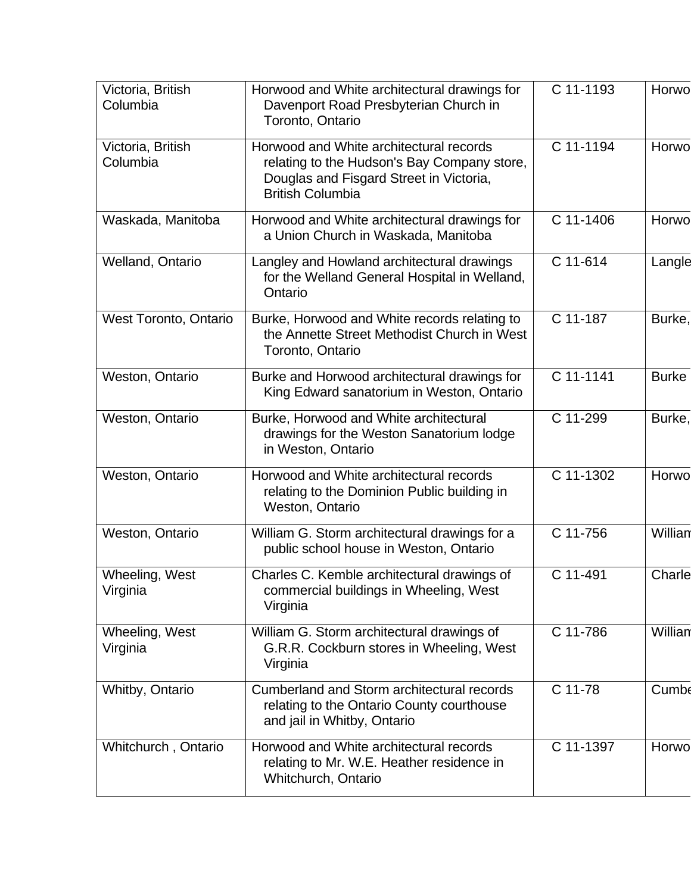| Victoria, British<br>Columbia | Horwood and White architectural drawings for<br>Davenport Road Presbyterian Church in<br>Toronto, Ontario                                                    | C 11-1193 | Horwo        |
|-------------------------------|--------------------------------------------------------------------------------------------------------------------------------------------------------------|-----------|--------------|
| Victoria, British<br>Columbia | Horwood and White architectural records<br>relating to the Hudson's Bay Company store,<br>Douglas and Fisgard Street in Victoria,<br><b>British Columbia</b> | C 11-1194 | Horwo        |
| Waskada, Manitoba             | Horwood and White architectural drawings for<br>a Union Church in Waskada, Manitoba                                                                          | C 11-1406 | Horwo        |
| Welland, Ontario              | Langley and Howland architectural drawings<br>for the Welland General Hospital in Welland,<br>Ontario                                                        | C 11-614  | Langle       |
| <b>West Toronto, Ontario</b>  | Burke, Horwood and White records relating to<br>the Annette Street Methodist Church in West<br>Toronto, Ontario                                              | C 11-187  | Burke,       |
| Weston, Ontario               | Burke and Horwood architectural drawings for<br>King Edward sanatorium in Weston, Ontario                                                                    | C 11-1141 | <b>Burke</b> |
| Weston, Ontario               | Burke, Horwood and White architectural<br>drawings for the Weston Sanatorium lodge<br>in Weston, Ontario                                                     | C 11-299  | Burke,       |
| Weston, Ontario               | Horwood and White architectural records<br>relating to the Dominion Public building in<br>Weston, Ontario                                                    | C 11-1302 | Horwo        |
| Weston, Ontario               | William G. Storm architectural drawings for a<br>public school house in Weston, Ontario                                                                      | C 11-756  | Willian      |
| Wheeling, West<br>Virginia    | Charles C. Kemble architectural drawings of<br>commercial buildings in Wheeling, West<br>Virginia                                                            | C 11-491  | Charle       |
| Wheeling, West<br>Virginia    | William G. Storm architectural drawings of<br>G.R.R. Cockburn stores in Wheeling, West<br>Virginia                                                           | C 11-786  | Willian      |
| Whitby, Ontario               | Cumberland and Storm architectural records<br>relating to the Ontario County courthouse<br>and jail in Whitby, Ontario                                       | C 11-78   | Cumbe        |
| Whitchurch, Ontario           | Horwood and White architectural records<br>relating to Mr. W.E. Heather residence in<br>Whitchurch, Ontario                                                  | C 11-1397 | Horwo        |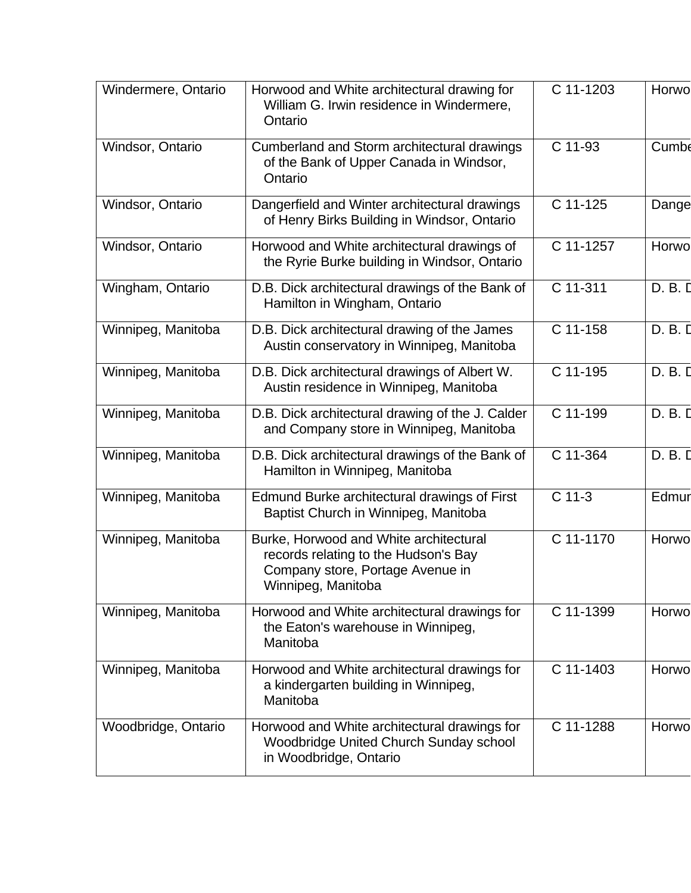| Windermere, Ontario | Horwood and White architectural drawing for<br>William G. Irwin residence in Windermere,<br>Ontario                                      | C 11-1203 | Horwo   |
|---------------------|------------------------------------------------------------------------------------------------------------------------------------------|-----------|---------|
| Windsor, Ontario    | Cumberland and Storm architectural drawings<br>of the Bank of Upper Canada in Windsor,<br>Ontario                                        | C 11-93   | Cumbe   |
| Windsor, Ontario    | Dangerfield and Winter architectural drawings<br>of Henry Birks Building in Windsor, Ontario                                             | C 11-125  | Dange   |
| Windsor, Ontario    | Horwood and White architectural drawings of<br>the Ryrie Burke building in Windsor, Ontario                                              | C 11-1257 | Horwo   |
| Wingham, Ontario    | D.B. Dick architectural drawings of the Bank of<br>Hamilton in Wingham, Ontario                                                          | C 11-311  | D. B. D |
| Winnipeg, Manitoba  | D.B. Dick architectural drawing of the James<br>Austin conservatory in Winnipeg, Manitoba                                                | C 11-158  | D. B. D |
| Winnipeg, Manitoba  | D.B. Dick architectural drawings of Albert W.<br>Austin residence in Winnipeg, Manitoba                                                  | C 11-195  | D. B. D |
| Winnipeg, Manitoba  | D.B. Dick architectural drawing of the J. Calder<br>and Company store in Winnipeg, Manitoba                                              | C 11-199  | D. B. D |
| Winnipeg, Manitoba  | D.B. Dick architectural drawings of the Bank of<br>Hamilton in Winnipeg, Manitoba                                                        | C 11-364  | D. B. D |
| Winnipeg, Manitoba  | Edmund Burke architectural drawings of First<br>Baptist Church in Winnipeg, Manitoba                                                     | $C$ 11-3  | Edmur   |
| Winnipeg, Manitoba  | Burke, Horwood and White architectural<br>records relating to the Hudson's Bay<br>Company store, Portage Avenue in<br>Winnipeg, Manitoba | C 11-1170 | Horwo   |
| Winnipeg, Manitoba  | Horwood and White architectural drawings for<br>the Eaton's warehouse in Winnipeg,<br>Manitoba                                           | C 11-1399 | Horwo   |
| Winnipeg, Manitoba  | Horwood and White architectural drawings for<br>a kindergarten building in Winnipeg,<br>Manitoba                                         | C 11-1403 | Horwo   |
| Woodbridge, Ontario | Horwood and White architectural drawings for<br>Woodbridge United Church Sunday school<br>in Woodbridge, Ontario                         | C 11-1288 | Horwo   |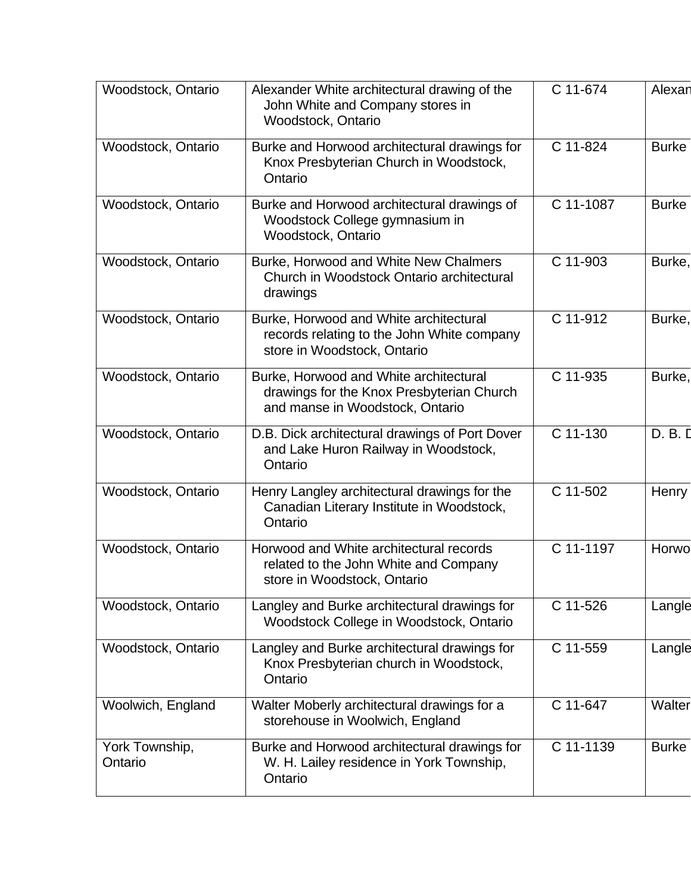| Woodstock, Ontario        | Alexander White architectural drawing of the<br>John White and Company stores in<br>Woodstock, Ontario                 | C 11-674  | Alexar       |
|---------------------------|------------------------------------------------------------------------------------------------------------------------|-----------|--------------|
| Woodstock, Ontario        | Burke and Horwood architectural drawings for<br>Knox Presbyterian Church in Woodstock,<br>Ontario                      | C 11-824  | <b>Burke</b> |
| Woodstock, Ontario        | Burke and Horwood architectural drawings of<br>Woodstock College gymnasium in<br>Woodstock, Ontario                    | C 11-1087 | <b>Burke</b> |
| Woodstock, Ontario        | Burke, Horwood and White New Chalmers<br>Church in Woodstock Ontario architectural<br>drawings                         | C 11-903  | Burke,       |
| Woodstock, Ontario        | Burke, Horwood and White architectural<br>records relating to the John White company<br>store in Woodstock, Ontario    | C 11-912  | Burke,       |
| Woodstock, Ontario        | Burke, Horwood and White architectural<br>drawings for the Knox Presbyterian Church<br>and manse in Woodstock, Ontario | C 11-935  | Burke,       |
| Woodstock, Ontario        | D.B. Dick architectural drawings of Port Dover<br>and Lake Huron Railway in Woodstock,<br>Ontario                      | C 11-130  | D. B. D      |
| Woodstock, Ontario        | Henry Langley architectural drawings for the<br>Canadian Literary Institute in Woodstock,<br>Ontario                   | C 11-502  | Henry        |
| Woodstock, Ontario        | Horwood and White architectural records<br>related to the John White and Company<br>store in Woodstock, Ontario        | C 11-1197 | Horwo        |
| Woodstock, Ontario        | Langley and Burke architectural drawings for<br>Woodstock College in Woodstock, Ontario                                | C 11-526  | Langle       |
| Woodstock, Ontario        | Langley and Burke architectural drawings for<br>Knox Presbyterian church in Woodstock,<br>Ontario                      | C 11-559  | Langle       |
| Woolwich, England         | Walter Moberly architectural drawings for a<br>storehouse in Woolwich, England                                         | C 11-647  | Walter       |
| York Township,<br>Ontario | Burke and Horwood architectural drawings for<br>W. H. Lailey residence in York Township,<br>Ontario                    | C 11-1139 | <b>Burke</b> |